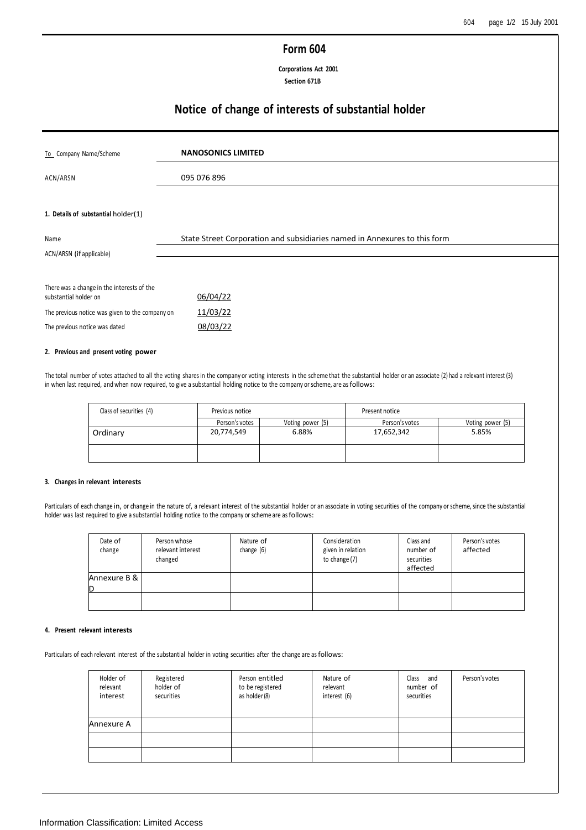## **Form 604**

**Corporations Act 2001 Section 671B**

# **Notice of change of interests of substantial holder**

| To Company Name/Scheme                          | <b>NANOSONICS LIMITED</b>                                                 |
|-------------------------------------------------|---------------------------------------------------------------------------|
| ACN/ARSN                                        | 095 076 896                                                               |
|                                                 |                                                                           |
| 1. Details of substantial holder(1)             |                                                                           |
| Name                                            | State Street Corporation and subsidiaries named in Annexures to this form |
| ACN/ARSN (if applicable)                        |                                                                           |
|                                                 |                                                                           |
| There was a change in the interests of the      |                                                                           |
| substantial holder on                           | 06/04/22                                                                  |
| The previous notice was given to the company on | 11/03/22                                                                  |
| The previous notice was dated                   | 08/03/22                                                                  |

### **2. Previous and present voting power**

The total number of votes attached to all the voting shares in the company or voting interests in the scheme that the substantial holder or an associate (2) had a relevant interest (3) in when last required, and when now required, to give a substantial holding notice to the company or scheme, are as follows:

| Class of securities (4) | Previous notice |                  | Present notice |                  |  |
|-------------------------|-----------------|------------------|----------------|------------------|--|
|                         | Person's votes  | Voting power (5) | Person's votes | Voting power (5) |  |
| Ordinary                | 20,774,549      | 6.88%            | 17,652,342     | 5.85%            |  |
|                         |                 |                  |                |                  |  |

### **3. Changes in relevant interests**

Particulars of each change in, or change in the nature of, a relevant interest of the substantial holder or an associate in voting securities of the company or scheme, since the substantial holder was last required to give a substantial holding notice to the company or scheme are as follows:

| Date of<br>change | Person whose<br>relevant interest<br>changed | Nature of<br>change (6) | Consideration<br>given in relation<br>to change (7) | Class and<br>number of<br>securities<br>affected | Person's votes<br>affected |
|-------------------|----------------------------------------------|-------------------------|-----------------------------------------------------|--------------------------------------------------|----------------------------|
| Annexure B &<br>D |                                              |                         |                                                     |                                                  |                            |
|                   |                                              |                         |                                                     |                                                  |                            |

### **4. Present relevant interests**

Particulars of each relevant interest of the substantial holder in voting securities after the change are as follows:

| Holder of<br>relevant<br>interest | Registered<br>holder of<br>securities | Person entitled<br>to be registered<br>as holder (8) | Nature of<br>relevant<br>interest (6) | Class and<br>number of<br>securities | Person's votes |
|-----------------------------------|---------------------------------------|------------------------------------------------------|---------------------------------------|--------------------------------------|----------------|
| Annexure A                        |                                       |                                                      |                                       |                                      |                |
|                                   |                                       |                                                      |                                       |                                      |                |
|                                   |                                       |                                                      |                                       |                                      |                |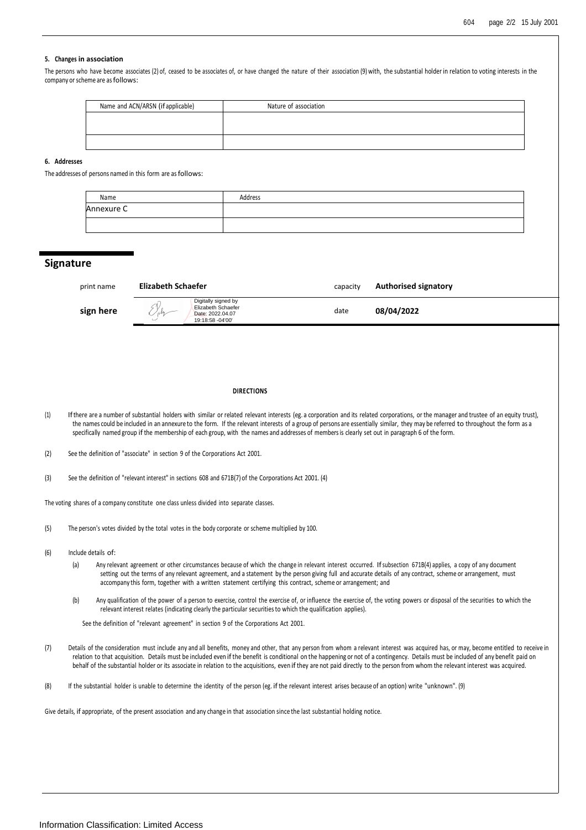### **5. Changes in association**

The persons who have become associates (2) of, ceased to be associates of, or have changed the nature of their association (9) with, the substantial holder in relation to voting interests in the company or scheme are as follows:

| Name and ACN/ARSN (if applicable) | Nature of association |
|-----------------------------------|-----------------------|
|                                   |                       |
|                                   |                       |
|                                   |                       |

### **6. Addresses**

The addresses of persons named in this form are as follows:

| Name       | Address |
|------------|---------|
| Annexure C |         |
|            |         |

### **Signature**

| print name | <b>Elizabeth Schaefer</b>                                                                | capacity | <b>Authorised signatory</b> |
|------------|------------------------------------------------------------------------------------------|----------|-----------------------------|
| sign here  | Digitally signed by<br><b>Elizabeth Schaefer</b><br>Date: 2022.04.07<br>19:18:58 -04'00' | date     | 08/04/2022                  |

#### **DIRECTIONS**

- (1) If there are a number of substantial holders with similar or related relevant interests (eg. a corporation and its related corporations, or the manager and trustee of an equity trust), the names could be included in an annexure to the form. If the relevant interests of a group of persons are essentially similar, they may be referred to throughout the form as a specifically named group if the membership of each group, with the names and addresses of members is clearly set out in paragraph 6 of the form.
- (2) See the definition of "associate" in section 9 of the Corporations Act 2001.
- (3) See the definition of "relevant interest" in sections 608 and 671B(7) of the Corporations Act 2001. (4)

The voting shares of a company constitute one class unless divided into separate classes.

- (5) The person's votes divided by the total votes in the body corporate or scheme multiplied by 100.
- (6) Include details of:
	- (a) Any relevant agreement or other circumstances because of which the change in relevant interest occurred. If subsection 671B(4) applies, a copy of any document setting out the terms of any relevant agreement, and a statement by the person giving full and accurate details of any contract, scheme or arrangement, must accompany this form, together with a written statement certifying this contract, scheme or arrangement; and
	- (b) Any qualification of the power of a person to exercise, control the exercise of, or influence the exercise of, the voting powers or disposal of the securities to which the relevant interest relates (indicating clearly the particular securities to which the qualification applies).

See the definition of "relevant agreement" in section 9 of the Corporations Act 2001.

- (7) Details of the consideration must include any and all benefits, money and other, that any person from whom a relevant interest was acquired has, or may, become entitled to receive in relation to that acquisition. Details must be included even if the benefit is conditional on the happening or not of a contingency. Details must be included of any benefit paid on behalf of the substantial holder or its associate in relation to the acquisitions, even if they are not paid directly to the person from whom the relevant interest was acquired.
- (8) If the substantial holder is unable to determine the identity of the person (eg. if the relevant interest arises because of an option) write "unknown". (9)

Give details, if appropriate, of the present association and any change in that association since the last substantial holding notice.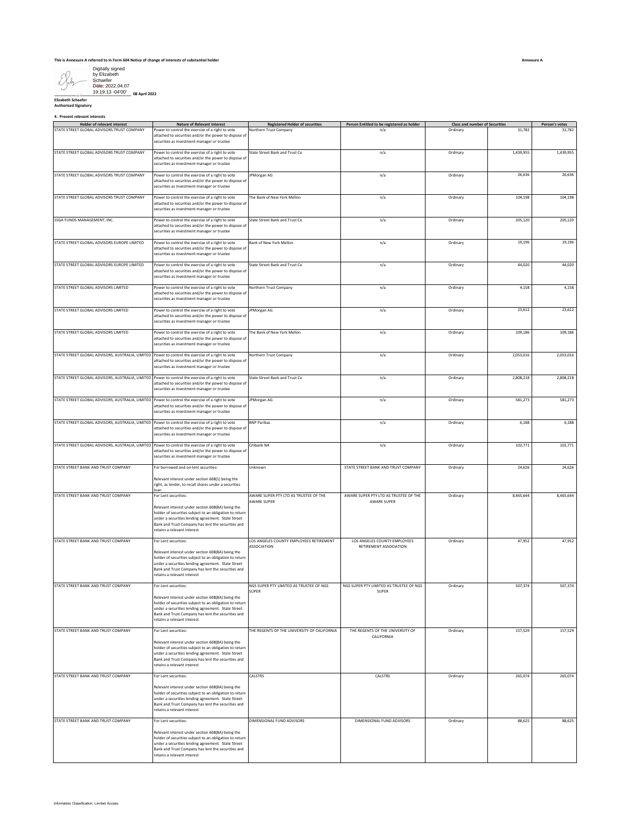| Digitally signed<br>by Elizabeth                 |               |
|--------------------------------------------------|---------------|
| Schaefer<br>Date: 2022.04.07<br>19:19:13 -04'00' | 08 April 2022 |
|                                                  |               |

| Digitally signed<br>by Elizabeth<br>Schaefer                                                      |                                                                                                                                                                                                                                                                                 |                                                               |                                                        |                                       |           |                |
|---------------------------------------------------------------------------------------------------|---------------------------------------------------------------------------------------------------------------------------------------------------------------------------------------------------------------------------------------------------------------------------------|---------------------------------------------------------------|--------------------------------------------------------|---------------------------------------|-----------|----------------|
| Date: 2022.04.07<br>19:19:13 -04'00'<br>08 April 2022                                             |                                                                                                                                                                                                                                                                                 |                                                               |                                                        |                                       |           |                |
| <b>Elizabeth Schaefer</b><br><b>Authorised Signatory</b>                                          |                                                                                                                                                                                                                                                                                 |                                                               |                                                        |                                       |           |                |
| 4. Present relevant interests<br>Holder of relevant interest                                      | <b>Nature of Relevant Interest</b>                                                                                                                                                                                                                                              | <b>Registered Holder of securities</b>                        | Person Entitled to be registered as holder             | <b>Class and number of Securities</b> |           | Person's votes |
| STATE STREET GLOBAL ADVISORS TRUST COMPANY                                                        | Power to control the exercise of a right to vote<br>attached to securities and/or the power to dispose of<br>securities as investment manager or trustee                                                                                                                        | Northern Trust Company                                        | n/a                                                    | Ordinary                              | 31,782    | 31,782         |
| STATE STREET GLOBAL ADVISORS TRUST COMPANY                                                        | Power to control the exercise of a right to vote<br>attached to securities and/or the power to dispose of<br>securities as investment manager or trustee                                                                                                                        | State Street Bank and Trust Co                                | n/a                                                    | Ordinary                              | 1,439,955 | 1,439,955      |
| STATE STREET GLOBAL ADVISORS TRUST COMPANY                                                        | Power to control the exercise of a right to vote<br>attached to securities and/or the power to dispose of<br>securities as investment manager or trustee                                                                                                                        | JPMorgan AG                                                   | n/a                                                    | Ordinary                              | 26,636    | 26,636         |
| STATE STREET GLOBAL ADVISORS TRUST COMPANY                                                        | Power to control the exercise of a right to vote<br>attached to securities and/or the power to dispose of<br>securities as investment manager or trustee                                                                                                                        | The Bank of New York Mellon                                   | n/a                                                    | Ordinary                              | 104,198   | 104,198        |
| SSGA FUNDS MANAGEMENT, INC.                                                                       | Power to control the exercise of a right to vote<br>attached to securities and/or the power to dispose of<br>securities as investment manager or trustee                                                                                                                        | State Street Bank and Trust Co                                | n/a                                                    | Ordinary                              | 205,120   | 205,120        |
| STATE STREET GLOBAL ADVISORS EUROPE LIMITED                                                       | Power to control the exercise of a right to vote<br>attached to securities and/or the power to dispose of<br>securities as investment manager or trustee                                                                                                                        | Bank of New York Mellon                                       | n/a                                                    | Ordinary                              | 19,196    | 19,196         |
| STATE STREET GLOBAL ADVISORS EUROPE LIMITED                                                       | Power to control the exercise of a right to vote<br>attached to securities and/or the power to dispose of<br>securities as investment manager or trustee                                                                                                                        | State Street Bank and Trust Co                                | n/a                                                    | Ordinary                              | 44,020    | 44,020         |
| STATE STREET GLOBAL ADVISORS LIMITED                                                              | Power to control the exercise of a right to vote<br>attached to securities and/or the power to dispose of<br>securities as investment manager or trustee                                                                                                                        | Northern Trust Company                                        | n/a                                                    | Ordinary                              | 4,158     | 4,158          |
| STATE STREET GLOBAL ADVISORS LIMITED                                                              | Power to control the exercise of a right to vote<br>attached to securities and/or the power to dispose of<br>securities as investment manager or trustee                                                                                                                        | JPMorgan AG                                                   | n/a                                                    | Ordinary                              | 23,612    | 23,612         |
| STATE STREET GLOBAL ADVISORS LIMITED                                                              | Power to control the exercise of a right to vote<br>attached to securities and/or the power to dispose of<br>securities as investment manager or trustee                                                                                                                        | The Bank of New York Mellon                                   | n/a                                                    | Ordinary                              | 109,186   | 109,186        |
| STATE STREET GLOBAL ADVISORS, AUSTRALIA, LIMITED Power to control the exercise of a right to vote | attached to securities and/or the power to dispose of<br>securities as investment manager or trustee                                                                                                                                                                            | Northern Trust Company                                        | n/a                                                    | Ordinary                              | 2,053,016 | 2,053,016      |
| STATE STREET GLOBAL ADVISORS, AUSTRALIA, LIMITED Power to control the exercise of a right to vote | attached to securities and/or the power to dispose of<br>securities as investment manager or trustee                                                                                                                                                                            | State Street Bank and Trust Co                                | n/a                                                    | Ordinary                              | 2,808,218 | 2,808,218      |
| STATE STREET GLOBAL ADVISORS, AUSTRALIA, LIMITED Power to control the exercise of a right to vote | attached to securities and/or the power to dispose of<br>securities as investment manager or trustee                                                                                                                                                                            | <b>PMorgan AG</b>                                             | n/a                                                    | Ordinary                              | 581,273   | 581,273        |
| STATE STREET GLOBAL ADVISORS, AUSTRALIA, LIMITED                                                  | Power to control the exercise of a right to vote<br>attached to securities and/or the power to dispose of<br>securities as investment manager or trustee                                                                                                                        | <b>BNP Paribas</b>                                            | n/a                                                    | Ordinary                              | 6,188     | 6,188          |
| STATE STREET GLOBAL ADVISORS, AUSTRALIA, LIMITED Power to control the exercise of a right to vote | attached to securities and/or the power to dispose of<br>ecurities as investment manager or trustee                                                                                                                                                                             | Citibank NA                                                   | n/a                                                    | Ordinary                              | 102,771   | 102,771        |
| STATE STREET BANK AND TRUST COMPANY                                                               | For borrowed and on-lent securities:<br>Relevant interest under section 608(1) being the<br>right, as lender, to recall shares under a securities                                                                                                                               | Unknown                                                       | STATE STREET BANK AND TRUST COMPANY                    | Ordinary                              | 24,626    | 24,626         |
| STATE STREET BANK AND TRUST COMPANY                                                               | oan<br>For Lent securities:                                                                                                                                                                                                                                                     | AWARE SUPER PTY LTD AS TRUSTEE OF THE                         | AWARE SUPER PTY LTD AS TRUSTEE OF THE                  | Ordinary                              | 8,465,644 | 8,465,644      |
|                                                                                                   | Relevant interest under section 608(8A) being the<br>holder of securities subject to an obligation to return<br>under a securities lending agreement. State Street<br>Bank and Trust Company has lent the securities and<br>retains a relevant interest                         | AWARE SUPER                                                   | <b>AWARE SUPER</b>                                     |                                       |           |                |
| STATE STREET BANK AND TRUST COMPANY                                                               | For Lent securities:<br>Relevant interest under section 608(8A) being the<br>holder of securities subject to an obligation to return<br>under a securities lending agreement. State Street<br>Bank and Trust Company has lent the securities and<br>retains a relevant interest | LOS ANGELES COUNTY EMPLOYEES RETIREMENT<br><b>ASSOCIATION</b> | LOS ANGELES COUNTY EMPLOYEES<br>RETIREMENT ASSOCIATION | Ordinary                              | 47,952    | 47,952         |
| STATE STREET BANK AND TRUST COMPANY                                                               | For Lent securities:<br>Relevant interest under section 608(8A) being the<br>holder of securities subject to an obligation to return<br>under a securities lending agreement. State Street<br>Bank and Trust Company has lent the securities and<br>etains a relevant interest  | NGS SUPER PTY LIMITED AS TRUSTEE OF NGS<br>SUPER              | NGS SUPER PTY LIMITED AS TRUSTEE OF NGS<br>SUPER       | Ordinary                              | 507,374   | 507,374        |
| STATE STREET BANK AND TRUST COMPANY                                                               | For Lent securities:                                                                                                                                                                                                                                                            | THE REGENTS OF THE UNIVERSITY OF CALIFORNIA                   | THE REGENTS OF THE UNIVERSITY OF<br>CALIFORNIA         | Ordinary                              | 157,529   | 157,529        |
|                                                                                                   | Relevant interest under section 608(8A) being the<br>holder of securities subject to an obligation to return<br>under a securities lending agreement. State Street<br>Bank and Trust Company has lent the securities and<br>retains a relevant interest                         |                                                               |                                                        |                                       |           |                |
| STATE STREET BANK AND TRUST COMPANY                                                               | For Lent securities:                                                                                                                                                                                                                                                            | CALSTRS                                                       | CALSTRS                                                | Ordinary                              | 265,074   | 265,074        |
|                                                                                                   | Relevant interest under section 608(8A) being the<br>holder of securities subject to an obligation to return<br>under a securities lending agreement. State Street<br>Bank and Trust Company has lent the securities and<br>retains a relevant interest                         |                                                               |                                                        |                                       |           |                |
| STATE STREET BANK AND TRUST COMPANY                                                               | For Lent securities:<br>Relevant interest under section 608(8A) being the<br>holder of securities subject to an obligation to return<br>under a securities lending agreement. State Street<br>Bank and Trust Company has lent the securities and<br>etains a relevant interest  | DIMENSIONAL FUND ADVISORS                                     | DIMENSIONAL FUND ADVISORS                              | Ordinary                              | 88,625    | 88,625         |
| Information Classification: Limited Access                                                        |                                                                                                                                                                                                                                                                                 |                                                               |                                                        |                                       |           |                |

**Annexure A**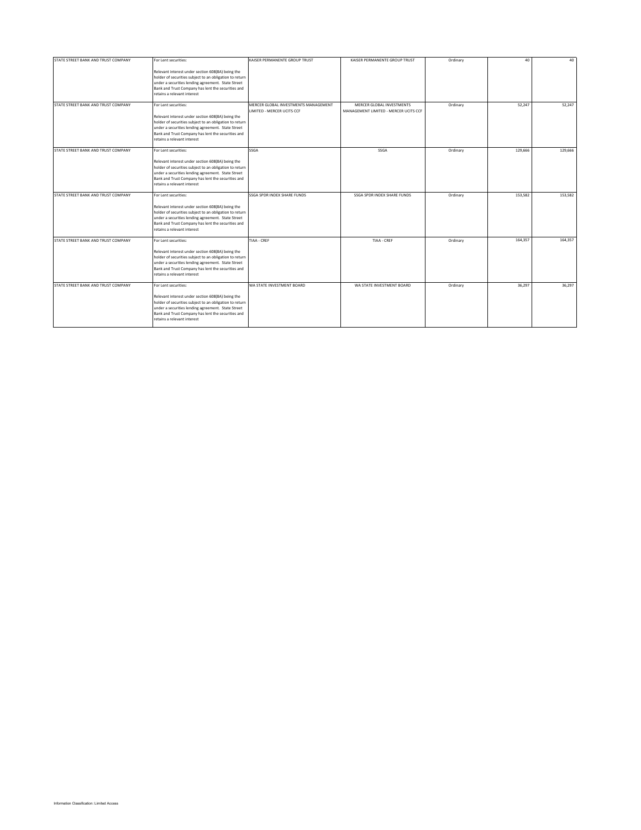| STATE STREET BANK AND TRUST COMPANY | For Lent securities:                                    | KAISER PERMANENTE GROUP TRUST                                      | KAISER PERMANENTE GROUP TRUST                                      | Ordinary | 40      | 40      |
|-------------------------------------|---------------------------------------------------------|--------------------------------------------------------------------|--------------------------------------------------------------------|----------|---------|---------|
|                                     |                                                         |                                                                    |                                                                    |          |         |         |
|                                     | Relevant interest under section 608(8A) being the       |                                                                    |                                                                    |          |         |         |
|                                     | holder of securities subject to an obligation to return |                                                                    |                                                                    |          |         |         |
|                                     | under a securities lending agreement. State Street      |                                                                    |                                                                    |          |         |         |
|                                     | Bank and Trust Company has lent the securities and      |                                                                    |                                                                    |          |         |         |
|                                     | retains a relevant interest                             |                                                                    |                                                                    |          |         |         |
| STATE STREET BANK AND TRUST COMPANY | For Lent securities:                                    | MERCER GLOBAL INVESTMENTS MANAGEMENT<br>LIMITED - MERCER UCITS CCF | MERCER GLOBAL INVESTMENTS<br>MANAGEMENT LIMITED - MERCER UCITS CCF | Ordinary | 52,247  | 52,247  |
|                                     | Relevant interest under section 608(8A) being the       |                                                                    |                                                                    |          |         |         |
|                                     | holder of securities subject to an obligation to return |                                                                    |                                                                    |          |         |         |
|                                     | under a securities lending agreement. State Street      |                                                                    |                                                                    |          |         |         |
|                                     | Bank and Trust Company has lent the securities and      |                                                                    |                                                                    |          |         |         |
|                                     | retains a relevant interest                             |                                                                    |                                                                    |          |         |         |
| STATE STREET BANK AND TRUST COMPANY | For Lent securities:                                    | SSGA                                                               | SSGA                                                               | Ordinary | 129,666 | 129,666 |
|                                     | Relevant interest under section 608(8A) being the       |                                                                    |                                                                    |          |         |         |
|                                     | holder of securities subject to an obligation to return |                                                                    |                                                                    |          |         |         |
|                                     | under a securities lending agreement. State Street      |                                                                    |                                                                    |          |         |         |
|                                     | Bank and Trust Company has lent the securities and      |                                                                    |                                                                    |          |         |         |
|                                     | retains a relevant interest                             |                                                                    |                                                                    |          |         |         |
|                                     |                                                         |                                                                    |                                                                    |          |         |         |
| STATE STREET BANK AND TRUST COMPANY | For Lent securities:                                    | SSGA SPDR INDEX SHARE FUNDS                                        | SSGA SPDR INDEX SHARE FUNDS                                        | Ordinary | 153,582 | 153,582 |
|                                     | Relevant interest under section 608(8A) being the       |                                                                    |                                                                    |          |         |         |
|                                     | holder of securities subject to an obligation to return |                                                                    |                                                                    |          |         |         |
|                                     | under a securities lending agreement. State Street      |                                                                    |                                                                    |          |         |         |
|                                     | Bank and Trust Company has lent the securities and      |                                                                    |                                                                    |          |         |         |
|                                     | retains a relevant interest                             |                                                                    |                                                                    |          |         |         |
|                                     |                                                         |                                                                    |                                                                    |          |         |         |
| STATE STREET BANK AND TRUST COMPANY | For Lent securities:                                    | TIAA - CREF                                                        | TIAA - CREF                                                        | Ordinary | 164,357 | 164,357 |
|                                     | Relevant interest under section 608(8A) being the       |                                                                    |                                                                    |          |         |         |
|                                     | holder of securities subject to an obligation to return |                                                                    |                                                                    |          |         |         |
|                                     | under a securities lending agreement. State Street      |                                                                    |                                                                    |          |         |         |
|                                     | Bank and Trust Company has lent the securities and      |                                                                    |                                                                    |          |         |         |
|                                     | retains a relevant interest                             |                                                                    |                                                                    |          |         |         |
|                                     |                                                         |                                                                    |                                                                    |          |         |         |
| STATE STREET BANK AND TRUST COMPANY | For Lent securities:                                    | WA STATE INVESTMENT BOARD                                          | WA STATE INVESTMENT BOARD                                          | Ordinary | 36,297  | 36.297  |
|                                     | Relevant interest under section 608(8A) being the       |                                                                    |                                                                    |          |         |         |
|                                     | holder of securities subject to an obligation to return |                                                                    |                                                                    |          |         |         |
|                                     | under a securities lending agreement. State Street      |                                                                    |                                                                    |          |         |         |
|                                     | Bank and Trust Company has lent the securities and      |                                                                    |                                                                    |          |         |         |
|                                     | retains a relevant interest                             |                                                                    |                                                                    |          |         |         |
|                                     |                                                         |                                                                    |                                                                    |          |         |         |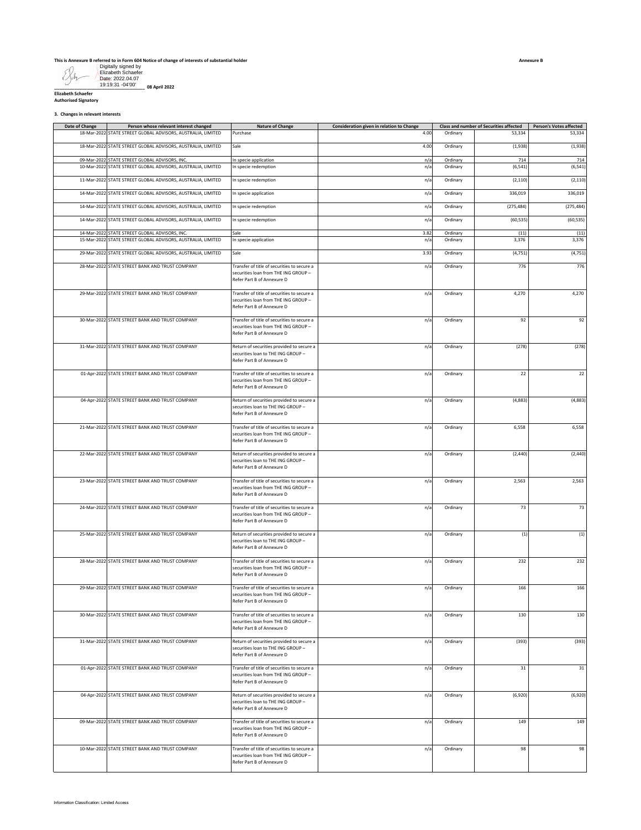**This is Annexure B referred to in Form 604 Notice of change of interests of substantial holder**

Digitally signed by Elizabeth Schaefer Date: 2022.04.07 19:19:31 -04'00'

**\_\_\_\_\_\_\_\_\_\_\_\_\_\_\_\_\_\_\_\_\_\_\_\_\_\_\_\_\_\_\_\_\_\_\_\_ 08 April 2022**

| <b>Elizabeth Schaefer</b>   |
|-----------------------------|
|                             |
| <b>Authorised Signatory</b> |
|                             |
|                             |

**3. Changes in relevant interests**

| Date of Change | Person whose relevant interest changed                                                                         | <b>Nature of Change</b>                                                                                           | Consideration given in relation to Change |          | <b>Class and number of Securities affected</b> | <b>Person's Votes affected</b> |
|----------------|----------------------------------------------------------------------------------------------------------------|-------------------------------------------------------------------------------------------------------------------|-------------------------------------------|----------|------------------------------------------------|--------------------------------|
|                | 18-Mar-2022 STATE STREET GLOBAL ADVISORS, AUSTRALIA, LIMITED                                                   | Purchase                                                                                                          | 4.00                                      | Ordinary | 53,334                                         | 53,334                         |
|                | 18-Mar-2022 STATE STREET GLOBAL ADVISORS, AUSTRALIA, LIMITED                                                   | Sale                                                                                                              | 4.00                                      | Ordinary | (1,938)                                        | (1,938)                        |
|                | 09-Mar-2022 STATE STREET GLOBAL ADVISORS, INC.                                                                 | In specie application                                                                                             | n/a                                       | Ordinary | 714                                            | 714                            |
|                | 10-Mar-2022 STATE STREET GLOBAL ADVISORS, AUSTRALIA, LIMITED                                                   | In specie redemption                                                                                              | n/a                                       | Ordinary | (6, 541)                                       | (6, 541)                       |
|                | 11-Mar-2022 STATE STREET GLOBAL ADVISORS, AUSTRALIA, LIMITED                                                   | In specie redemption                                                                                              | n/a                                       | Ordinary | (2, 110)                                       | (2, 110)                       |
|                | 14-Mar-2022 STATE STREET GLOBAL ADVISORS, AUSTRALIA, LIMITED                                                   | In specie application                                                                                             | n/a                                       | Ordinary | 336,019                                        | 336,019                        |
|                | 14-Mar-2022 STATE STREET GLOBAL ADVISORS, AUSTRALIA, LIMITED                                                   | In specie redemption                                                                                              | n/a                                       | Ordinary | (275, 484)                                     | (275, 484)                     |
|                | 14-Mar-2022 STATE STREET GLOBAL ADVISORS, AUSTRALIA, LIMITED                                                   | In specie redemption                                                                                              | n/a                                       | Ordinary | (60, 535)                                      | (60, 535)                      |
|                | 14-Mar-2022 STATE STREET GLOBAL ADVISORS, INC.<br>15-Mar-2022 STATE STREET GLOBAL ADVISORS, AUSTRALIA, LIMITED | Sale                                                                                                              | 3.82                                      | Ordinary | (11)                                           | (11)                           |
|                |                                                                                                                | In specie application                                                                                             | n/a                                       | Ordinary | 3,376                                          | 3,376                          |
|                | 29-Mar-2022 STATE STREET GLOBAL ADVISORS, AUSTRALIA, LIMITED                                                   | Sale                                                                                                              | 3.93                                      | Ordinary | (4, 751)                                       | (4, 751)                       |
|                | 28-Mar-2022 STATE STREET BANK AND TRUST COMPANY                                                                | Transfer of title of securities to secure a<br>securities loan from THE ING GROUP -<br>Refer Part B of Annexure D | n/a                                       | Ordinary | 776                                            | 776                            |
|                | 29-Mar-2022 STATE STREET BANK AND TRUST COMPANY                                                                | Transfer of title of securities to secure a<br>securities loan from THE ING GROUP -<br>Refer Part B of Annexure D | n/a                                       | Ordinary | 4,270                                          | 4,270                          |
|                | 30-Mar-2022 STATE STREET BANK AND TRUST COMPANY                                                                | Transfer of title of securities to secure a<br>securities loan from THE ING GROUP -<br>Refer Part B of Annexure D | n/a                                       | Ordinary | 92                                             | 92                             |
|                | 31-Mar-2022 STATE STREET BANK AND TRUST COMPANY                                                                | Return of securities provided to secure a<br>securities loan to THE ING GROUP -<br>Refer Part B of Annexure D     | n/a                                       | Ordinary | (278)                                          | (278)                          |
|                | 01-Apr-2022 STATE STREET BANK AND TRUST COMPANY                                                                | Transfer of title of securities to secure a<br>securities loan from THE ING GROUP -<br>Refer Part B of Annexure D | n/a                                       | Ordinary | 22                                             | 22                             |
|                | 04-Apr-2022 STATE STREET BANK AND TRUST COMPANY                                                                | Return of securities provided to secure a<br>securities loan to THE ING GROUP -<br>Refer Part B of Annexure D     | n/a                                       | Ordinary | (4,883)                                        | (4,883)                        |
|                | 21-Mar-2022 STATE STREET BANK AND TRUST COMPANY                                                                | Transfer of title of securities to secure a<br>securities loan from THE ING GROUP -<br>Refer Part B of Annexure D | n/a                                       | Ordinary | 6,558                                          | 6,558                          |
|                | 22-Mar-2022 STATE STREET BANK AND TRUST COMPANY                                                                | Return of securities provided to secure a<br>securities loan to THE ING GROUP -<br>Refer Part B of Annexure D     | n/a                                       | Ordinary | (2, 440)                                       | (2, 440)                       |
|                | 23-Mar-2022 STATE STREET BANK AND TRUST COMPANY                                                                | Transfer of title of securities to secure a<br>securities loan from THE ING GROUP -<br>Refer Part B of Annexure D | n/a                                       | Ordinary | 2,563                                          | 2,563                          |
|                | 24-Mar-2022 STATE STREET BANK AND TRUST COMPANY                                                                | Transfer of title of securities to secure a<br>securities loan from THE ING GROUP -<br>Refer Part B of Annexure D | n/a                                       | Ordinary | 73                                             | 73                             |
|                | 25-Mar-2022 STATE STREET BANK AND TRUST COMPANY                                                                | Return of securities provided to secure a<br>securities loan to THE ING GROUP -<br>Refer Part B of Annexure D     | n/a                                       | Ordinary | (1)                                            | (1)                            |
|                | 28-Mar-2022 STATE STREET BANK AND TRUST COMPANY                                                                | Transfer of title of securities to secure a<br>securities loan from THE ING GROUP -<br>Refer Part B of Annexure D | n/a                                       | Ordinary | 232                                            | 232                            |
|                | 29-Mar-2022 STATE STREET BANK AND TRUST COMPANY                                                                | Transfer of title of securities to secure a<br>ecurities loan from THE ING GROUP -<br>Refer Part B of Annexure D  | n/a                                       | Ordinary | 166                                            | 166                            |
|                | 30-Mar-2022 STATE STREET BANK AND TRUST COMPANY                                                                | Transfer of title of securities to secure a<br>securities loan from THE ING GROUP -<br>Refer Part B of Annexure D | n/a                                       | Ordinary | 130                                            | 130                            |
|                | 31-Mar-2022 STATE STREET BANK AND TRUST COMPANY                                                                | Return of securities provided to secure a<br>securities loan to THE ING GROUP -<br>Refer Part B of Annexure D     | n/a                                       | Ordinary | (393)                                          | (393)                          |
|                | 01-Apr-2022 STATE STREET BANK AND TRUST COMPANY                                                                | Transfer of title of securities to secure a<br>securities loan from THE ING GROUP -<br>Refer Part B of Annexure D | n/a                                       | Ordinary | 31                                             | $31\,$                         |
|                | 04-Apr-2022 STATE STREET BANK AND TRUST COMPANY                                                                | Return of securities provided to secure a<br>securities loan to THE ING GROUP -<br>Refer Part B of Annexure D     | n/a                                       | Ordinary | (6,920)                                        | (6,920)                        |
|                | 09-Mar-2022 STATE STREET BANK AND TRUST COMPANY                                                                | Transfer of title of securities to secure a<br>securities loan from THE ING GROUP -<br>Refer Part B of Annexure D | n/a                                       | Ordinary | 149                                            | 149                            |
|                | 10-Mar-2022 STATE STREET BANK AND TRUST COMPANY                                                                | Transfer of title of securities to secure a<br>securities loan from THE ING GROUP -<br>Refer Part B of Annexure D | n/a                                       | Ordinary | 98                                             | 98                             |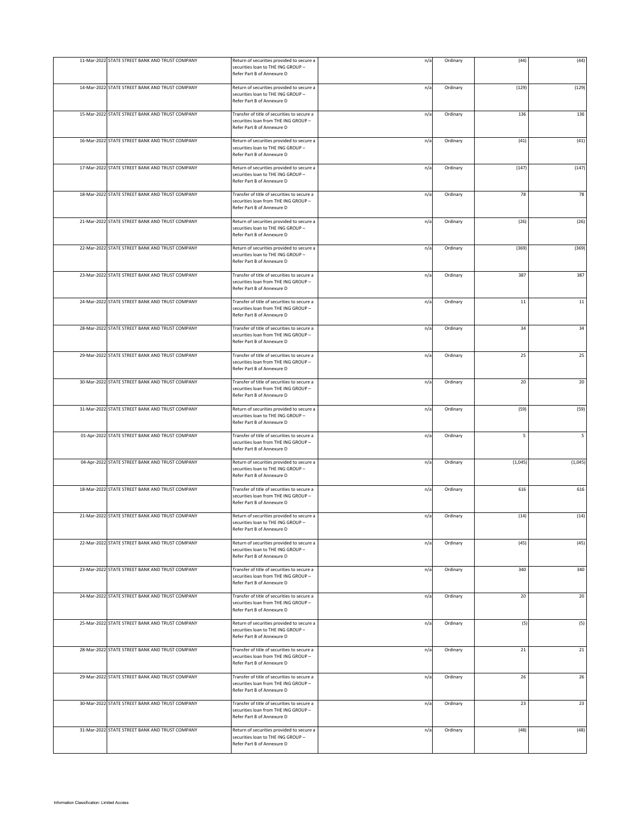| 11-Mar-2022 STATE STREET BANK AND TRUST COMPANY | Return of securities provided to secure a<br>securities loan to THE ING GROUP -<br>Refer Part B of Annexure D     | n/a | Ordinary | (44)    | (44)    |
|-------------------------------------------------|-------------------------------------------------------------------------------------------------------------------|-----|----------|---------|---------|
| 14-Mar-2022 STATE STREET BANK AND TRUST COMPANY | Return of securities provided to secure a<br>securities loan to THE ING GROUP -<br>Refer Part B of Annexure D     | n/a | Ordinary | (129)   | (129)   |
| 15-Mar-2022 STATE STREET BANK AND TRUST COMPANY | Transfer of title of securities to secure a<br>securities loan from THE ING GROUP -<br>Refer Part B of Annexure D | n/a | Ordinary | 136     | 136     |
| 16-Mar-2022 STATE STREET BANK AND TRUST COMPANY | Return of securities provided to secure a<br>securities loan to THE ING GROUP -<br>Refer Part B of Annexure D     | n/a | Ordinary | (41)    | (41)    |
| 17-Mar-2022 STATE STREET BANK AND TRUST COMPANY | Return of securities provided to secure a<br>securities loan to THE ING GROUP -<br>Refer Part B of Annexure D     | n/a | Ordinary | (147)   | (147)   |
| 18-Mar-2022 STATE STREET BANK AND TRUST COMPANY | Transfer of title of securities to secure a<br>securities loan from THE ING GROUP -<br>Refer Part B of Annexure D | n/a | Ordinary | 78      | 78      |
| 21-Mar-2022 STATE STREET BANK AND TRUST COMPANY | Return of securities provided to secure a<br>securities loan to THE ING GROUP -<br>Refer Part B of Annexure D     | n/a | Ordinary | (26)    | (26)    |
| 22-Mar-2022 STATE STREET BANK AND TRUST COMPANY | Return of securities provided to secure a<br>securities loan to THE ING GROUP -<br>Refer Part B of Annexure D     | n/a | Ordinary | (369)   | (369)   |
| 23-Mar-2022 STATE STREET BANK AND TRUST COMPANY | Transfer of title of securities to secure a<br>securities loan from THE ING GROUP -<br>Refer Part B of Annexure D | n/a | Ordinary | 387     | 387     |
| 24-Mar-2022 STATE STREET BANK AND TRUST COMPANY | Transfer of title of securities to secure a<br>securities loan from THE ING GROUP -<br>Refer Part B of Annexure D | n/a | Ordinary | $11\,$  | 11      |
| 28-Mar-2022 STATE STREET BANK AND TRUST COMPANY | Transfer of title of securities to secure a<br>securities loan from THE ING GROUP -<br>Refer Part B of Annexure D | n/a | Ordinary | 34      | 34      |
| 29-Mar-2022 STATE STREET BANK AND TRUST COMPANY | Transfer of title of securities to secure a<br>securities loan from THE ING GROUP -<br>Refer Part B of Annexure D | n/a | Ordinary | 25      | 25      |
| 30-Mar-2022 STATE STREET BANK AND TRUST COMPANY | Transfer of title of securities to secure a<br>securities loan from THE ING GROUP -<br>Refer Part B of Annexure D | n/a | Ordinary | 20      | 20      |
| 31-Mar-2022 STATE STREET BANK AND TRUST COMPANY | Return of securities provided to secure a<br>securities loan to THE ING GROUP -<br>Refer Part B of Annexure D     | n/a | Ordinary | (59)    | (59)    |
| 01-Apr-2022 STATE STREET BANK AND TRUST COMPANY | Transfer of title of securities to secure a<br>securities loan from THE ING GROUP -<br>Refer Part B of Annexure D | n/a | Ordinary | 5       | 5       |
| 04-Apr-2022 STATE STREET BANK AND TRUST COMPANY | Return of securities provided to secure a<br>securities loan to THE ING GROUP -<br>Refer Part B of Annexure D     | n/a | Ordinary | (1,045) | (1,045) |
| 18-Mar-2022 STATE STREET BANK AND TRUST COMPANY | Transfer of title of securities to secure a<br>securities loan from THE ING GROUP -<br>Refer Part B of Annexure D | n/a | Ordinary | 616     | 616     |
| 21-Mar-2022 STATE STREET BANK AND TRUST COMPANY | Return of securities provided to secure a<br>securities loan to THE ING GROUP -<br>Refer Part B of Annexure D     | n/a | Ordinary | (14)    | (14)    |
| 22-Mar-2022 STATE STREET BANK AND TRUST COMPANY | Return of securities provided to secure a<br>securities loan to THE ING GROUP -<br>Refer Part B of Annexure D     | n/a | Ordinary | (45)    | (45)    |
| 23-Mar-2022 STATE STREET BANK AND TRUST COMPANY | Transfer of title of securities to secure a<br>securities loan from THE ING GROUP -<br>Refer Part B of Annexure D | n/a | Ordinary | 340     | 340     |
| 24-Mar-2022 STATE STREET BANK AND TRUST COMPANY | Transfer of title of securities to secure a<br>securities loan from THE ING GROUP -<br>Refer Part B of Annexure D | n/a | Ordinary | 20      | 20      |
| 25-Mar-2022 STATE STREET BANK AND TRUST COMPANY | Return of securities provided to secure a<br>securities loan to THE ING GROUP -<br>Refer Part B of Annexure D     | n/a | Ordinary | (5)     | (5)     |
| 28-Mar-2022 STATE STREET BANK AND TRUST COMPANY | Transfer of title of securities to secure a<br>securities loan from THE ING GROUP -<br>Refer Part B of Annexure D | n/a | Ordinary | 21      | 21      |
| 29-Mar-2022 STATE STREET BANK AND TRUST COMPANY | Transfer of title of securities to secure a<br>securities loan from THE ING GROUP -<br>Refer Part B of Annexure D | n/a | Ordinary | 26      | 26      |
| 30-Mar-2022 STATE STREET BANK AND TRUST COMPANY | Transfer of title of securities to secure a<br>securities loan from THE ING GROUP -<br>Refer Part B of Annexure D | n/a | Ordinary | 23      | 23      |
| 31-Mar-2022 STATE STREET BANK AND TRUST COMPANY | Return of securities provided to secure a<br>securities loan to THE ING GROUP -<br>Refer Part B of Annexure D     | n/a | Ordinary | (48)    | (48)    |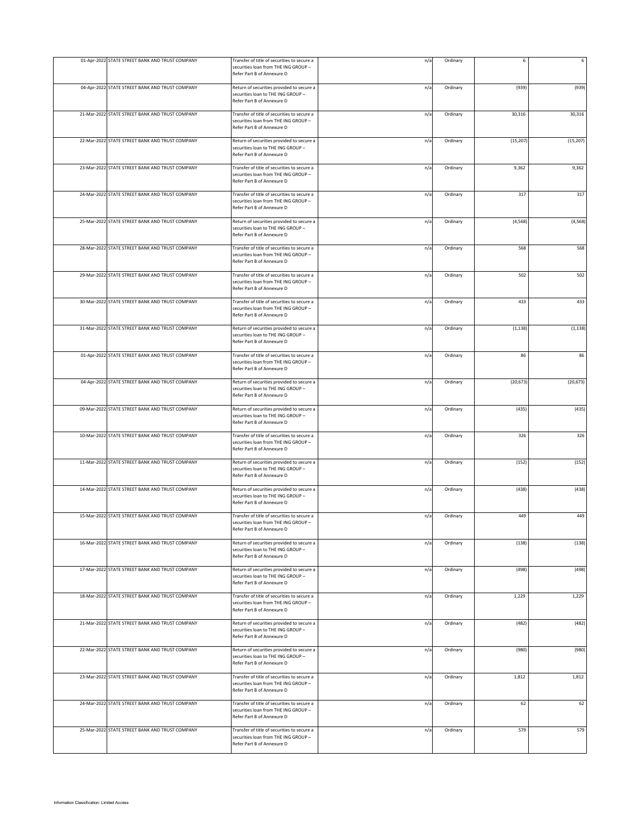| 01-Apr-2022 STATE STREET BANK AND TRUST COMPANY | Transfer of title of securities to secure a<br>securities loan from THE ING GROUP -<br>Refer Part B of Annexure D | n/a | Ordinary | 6         | 6         |
|-------------------------------------------------|-------------------------------------------------------------------------------------------------------------------|-----|----------|-----------|-----------|
| 04-Apr-2022 STATE STREET BANK AND TRUST COMPANY | Return of securities provided to secure a<br>securities loan to THE ING GROUP -<br>Refer Part B of Annexure D     | n/a | Ordinary | (939)     | (939)     |
| 21-Mar-2022 STATE STREET BANK AND TRUST COMPANY | Transfer of title of securities to secure a<br>securities loan from THE ING GROUP -<br>Refer Part B of Annexure D | n/a | Ordinary | 30,316    | 30,316    |
| 22-Mar-2022 STATE STREET BANK AND TRUST COMPANY | Return of securities provided to secure a<br>securities loan to THE ING GROUP -<br>Refer Part B of Annexure D     | n/a | Ordinary | (15, 207) | (15, 207) |
| 23-Mar-2022 STATE STREET BANK AND TRUST COMPANY | Transfer of title of securities to secure a<br>securities loan from THE ING GROUP -<br>Refer Part B of Annexure D | n/a | Ordinary | 9,362     | 9,362     |
| 24-Mar-2022 STATE STREET BANK AND TRUST COMPANY | Transfer of title of securities to secure a<br>securities loan from THE ING GROUP -<br>Refer Part B of Annexure D | n/a | Ordinary | 317       | 317       |
| 25-Mar-2022 STATE STREET BANK AND TRUST COMPANY | Return of securities provided to secure a<br>securities loan to THE ING GROUP -<br>Refer Part B of Annexure D     | n/a | Ordinary | (4, 568)  | (4, 568)  |
| 28-Mar-2022 STATE STREET BANK AND TRUST COMPANY | Transfer of title of securities to secure a<br>securities loan from THE ING GROUP -<br>Refer Part B of Annexure D | n/a | Ordinary | 568       | 568       |
| 29-Mar-2022 STATE STREET BANK AND TRUST COMPANY | Transfer of title of securities to secure a<br>securities loan from THE ING GROUP -<br>Refer Part B of Annexure D | n/a | Ordinary | 502       | 502       |
| 30-Mar-2022 STATE STREET BANK AND TRUST COMPANY | Transfer of title of securities to secure a<br>securities loan from THE ING GROUP -<br>Refer Part B of Annexure D | n/a | Ordinary | 433       | 433       |
| 31-Mar-2022 STATE STREET BANK AND TRUST COMPANY | Return of securities provided to secure a<br>securities loan to THE ING GROUP -<br>Refer Part B of Annexure D     | n/a | Ordinary | (1, 138)  | (1, 138)  |
| 01-Apr-2022 STATE STREET BANK AND TRUST COMPANY | Transfer of title of securities to secure a<br>securities loan from THE ING GROUP -<br>Refer Part B of Annexure D | n/a | Ordinary | 86        | 86        |
| 04-Apr-2022 STATE STREET BANK AND TRUST COMPANY | Return of securities provided to secure a<br>securities loan to THE ING GROUP -<br>Refer Part B of Annexure D     | n/a | Ordinary | (20, 673) | (20, 673) |
| 09-Mar-2022 STATE STREET BANK AND TRUST COMPANY | Return of securities provided to secure a<br>securities loan to THE ING GROUP -<br>Refer Part B of Annexure D     | n/a | Ordinary | (435)     | (435)     |
| 10-Mar-2022 STATE STREET BANK AND TRUST COMPANY | Transfer of title of securities to secure a<br>securities loan from THE ING GROUP -<br>Refer Part B of Annexure D | n/a | Ordinary | 326       | 326       |
| 11-Mar-2022 STATE STREET BANK AND TRUST COMPANY | Return of securities provided to secure a<br>securities loan to THE ING GROUP -<br>Refer Part B of Annexure D     | n/a | Ordinary | (152)     | (152)     |
| 14-Mar-2022 STATE STREET BANK AND TRUST COMPANY | Return of securities provided to secure a<br>securities loan to THE ING GROUP -<br>Refer Part B of Annexure D     | n/a | Ordinary | (438)     | (438)     |
| 15-Mar-2022 STATE STREET BANK AND TRUST COMPANY | Transfer of title of securities to secure a<br>securities loan from THE ING GROUP -<br>Refer Part B of Annexure D | n/a | Ordinary | 449       | 449       |
| 16-Mar-2022 STATE STREET BANK AND TRUST COMPANY | Return of securities provided to secure a<br>securities loan to THE ING GROUP -<br>Refer Part B of Annexure D     | n/a | Ordinary | (138)     | (138)     |
| 17-Mar-2022 STATE STREET BANK AND TRUST COMPANY | Return of securities provided to secure a<br>securities loan to THE ING GROUP -<br>Refer Part B of Annexure D     | n/a | Ordinary | (498)     | (498)     |
| 18-Mar-2022 STATE STREET BANK AND TRUST COMPANY | Transfer of title of securities to secure a<br>securities loan from THE ING GROUP -<br>Refer Part B of Annexure D | n/a | Ordinary | 1,229     | 1,229     |
| 21-Mar-2022 STATE STREET BANK AND TRUST COMPANY | Return of securities provided to secure a<br>securities loan to THE ING GROUP -<br>Refer Part B of Annexure D     | n/a | Ordinary | (482)     | (482)     |
| 22-Mar-2022 STATE STREET BANK AND TRUST COMPANY | Return of securities provided to secure a<br>securities loan to THE ING GROUP -<br>Refer Part B of Annexure D     | n/a | Ordinary | (980)     | (980)     |
| 23-Mar-2022 STATE STREET BANK AND TRUST COMPANY | Transfer of title of securities to secure a<br>securities loan from THE ING GROUP -<br>Refer Part B of Annexure D | n/a | Ordinary | 1,812     | 1,812     |
| 24-Mar-2022 STATE STREET BANK AND TRUST COMPANY | Transfer of title of securities to secure a<br>securities loan from THE ING GROUP -<br>Refer Part B of Annexure D | n/a | Ordinary | 62        | 62        |
| 25-Mar-2022 STATE STREET BANK AND TRUST COMPANY | Transfer of title of securities to secure a<br>securities loan from THE ING GROUP -<br>Refer Part B of Annexure D | n/a | Ordinary | 579       | 579       |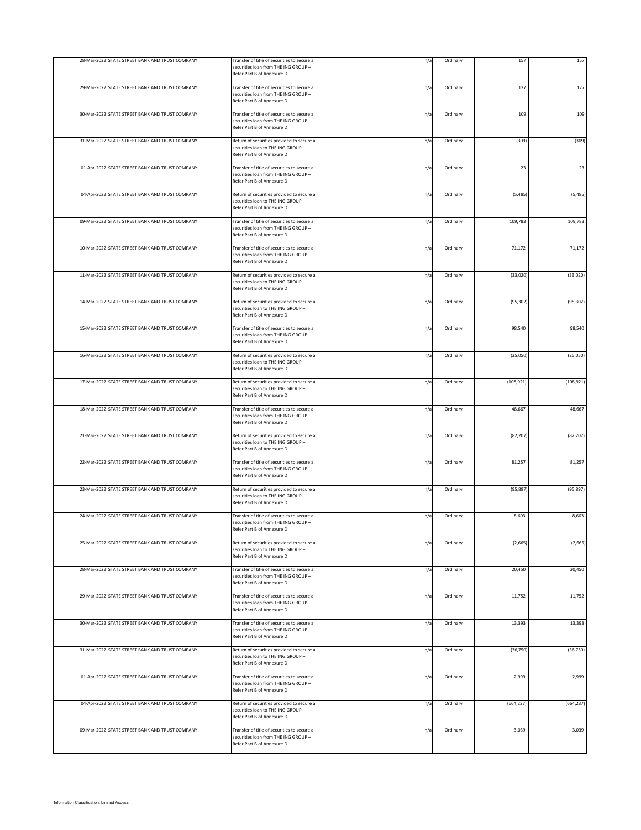| 28-Mar-2022 STATE STREET BANK AND TRUST COMPANY | Transfer of title of securities to secure a<br>securities loan from THE ING GROUP -<br>Refer Part B of Annexure D | n/a | Ordinary | 157        | 157        |
|-------------------------------------------------|-------------------------------------------------------------------------------------------------------------------|-----|----------|------------|------------|
| 29-Mar-2022 STATE STREET BANK AND TRUST COMPANY | Transfer of title of securities to secure a<br>securities loan from THE ING GROUP -<br>Refer Part B of Annexure D | n/a | Ordinary | 127        | 127        |
| 30-Mar-2022 STATE STREET BANK AND TRUST COMPANY | Transfer of title of securities to secure a<br>securities loan from THE ING GROUP -<br>Refer Part B of Annexure D | n/a | Ordinary | 109        | 109        |
| 31-Mar-2022 STATE STREET BANK AND TRUST COMPANY | Return of securities provided to secure a<br>securities loan to THE ING GROUP -<br>Refer Part B of Annexure D     | n/a | Ordinary | (309)      | (309)      |
| 01-Apr-2022 STATE STREET BANK AND TRUST COMPANY | Transfer of title of securities to secure a<br>securities loan from THE ING GROUP -<br>Refer Part B of Annexure D | n/a | Ordinary | 23         | 23         |
| 04-Apr-2022 STATE STREET BANK AND TRUST COMPANY | Return of securities provided to secure a<br>securities loan to THE ING GROUP -<br>Refer Part B of Annexure D     | n/a | Ordinary | (5, 485)   | (5, 485)   |
| 09-Mar-2022 STATE STREET BANK AND TRUST COMPANY | Transfer of title of securities to secure a<br>securities loan from THE ING GROUP -<br>Refer Part B of Annexure D | n/a | Ordinary | 109,783    | 109,783    |
| 10-Mar-2022 STATE STREET BANK AND TRUST COMPANY | Transfer of title of securities to secure a<br>securities loan from THE ING GROUP -<br>Refer Part B of Annexure D | n/a | Ordinary | 71,172     | 71,172     |
| 11-Mar-2022 STATE STREET BANK AND TRUST COMPANY | Return of securities provided to secure a<br>securities loan to THE ING GROUP -<br>Refer Part B of Annexure D     | n/a | Ordinary | (33, 020)  | (33,020)   |
| 14-Mar-2022 STATE STREET BANK AND TRUST COMPANY | Return of securities provided to secure a<br>securities loan to THE ING GROUP -<br>Refer Part B of Annexure D     | n/a | Ordinary | (95, 302)  | (95, 302)  |
| 15-Mar-2022 STATE STREET BANK AND TRUST COMPANY | Transfer of title of securities to secure a<br>securities loan from THE ING GROUP -<br>Refer Part B of Annexure D | n/a | Ordinary | 98,540     | 98,540     |
| 16-Mar-2022 STATE STREET BANK AND TRUST COMPANY | Return of securities provided to secure a<br>securities loan to THE ING GROUP -<br>Refer Part B of Annexure D     | n/a | Ordinary | (25,050)   | (25,050)   |
| 17-Mar-2022 STATE STREET BANK AND TRUST COMPANY | Return of securities provided to secure a<br>securities loan to THE ING GROUP -<br>Refer Part B of Annexure D     | n/a | Ordinary | (108, 921) | (108, 921) |
| 18-Mar-2022 STATE STREET BANK AND TRUST COMPANY | Transfer of title of securities to secure a<br>securities loan from THE ING GROUP -<br>Refer Part B of Annexure D | n/a | Ordinary | 48,667     | 48,667     |
| 21-Mar-2022 STATE STREET BANK AND TRUST COMPANY | Return of securities provided to secure a<br>securities loan to THE ING GROUP -<br>Refer Part B of Annexure D     | n/a | Ordinary | (82, 207)  | (82, 207)  |
| 22-Mar-2022 STATE STREET BANK AND TRUST COMPANY | Transfer of title of securities to secure a<br>securities loan from THE ING GROUP -<br>Refer Part B of Annexure D | n/a | Ordinary | 81,257     | 81,257     |
| 23-Mar-2022 STATE STREET BANK AND TRUST COMPANY | Return of securities provided to secure a<br>securities loan to THE ING GROUP -<br>Refer Part B of Annexure D     | n/a | Ordinary | (95, 897)  | (95, 897)  |
| 24-Mar-2022 STATE STREET BANK AND TRUST COMPANY | Transfer of title of securities to secure a<br>securities loan from THE ING GROUP -<br>Refer Part B of Annexure D | n/a | Ordinary | 8,603      | 8,603      |
| 25-Mar-2022 STATE STREET BANK AND TRUST COMPANY | Return of securities provided to secure a<br>securities loan to THE ING GROUP -<br>Refer Part B of Annexure D     | n/a | Ordinary | (2,665)    | (2,665)    |
| 28-Mar-2022 STATE STREET BANK AND TRUST COMPANY | Transfer of title of securities to secure a<br>securities loan from THE ING GROUP -<br>Refer Part B of Annexure D | n/a | Ordinary | 20,450     | 20,450     |
| 29-Mar-2022 STATE STREET BANK AND TRUST COMPANY | Transfer of title of securities to secure a<br>securities loan from THE ING GROUP -<br>Refer Part B of Annexure D | n/a | Ordinary | 11,752     | 11,752     |
| 30-Mar-2022 STATE STREET BANK AND TRUST COMPANY | Transfer of title of securities to secure a<br>securities loan from THE ING GROUP -<br>Refer Part B of Annexure D | n/a | Ordinary | 13,393     | 13,393     |
| 31-Mar-2022 STATE STREET BANK AND TRUST COMPANY | Return of securities provided to secure a<br>securities loan to THE ING GROUP -<br>Refer Part B of Annexure D     | n/a | Ordinary | (36, 750)  | (36, 750)  |
| 01-Apr-2022 STATE STREET BANK AND TRUST COMPANY | Transfer of title of securities to secure a<br>securities loan from THE ING GROUP -<br>Refer Part B of Annexure D | n/a | Ordinary | 2,999      | 2,999      |
| 04-Apr-2022 STATE STREET BANK AND TRUST COMPANY | Return of securities provided to secure a<br>securities loan to THE ING GROUP -<br>Refer Part B of Annexure D     | n/a | Ordinary | (664, 237) | (664, 237) |
| 09-Mar-2022 STATE STREET BANK AND TRUST COMPANY | Transfer of title of securities to secure a<br>securities loan from THE ING GROUP -<br>Refer Part B of Annexure D | n/a | Ordinary | 3,039      | 3,039      |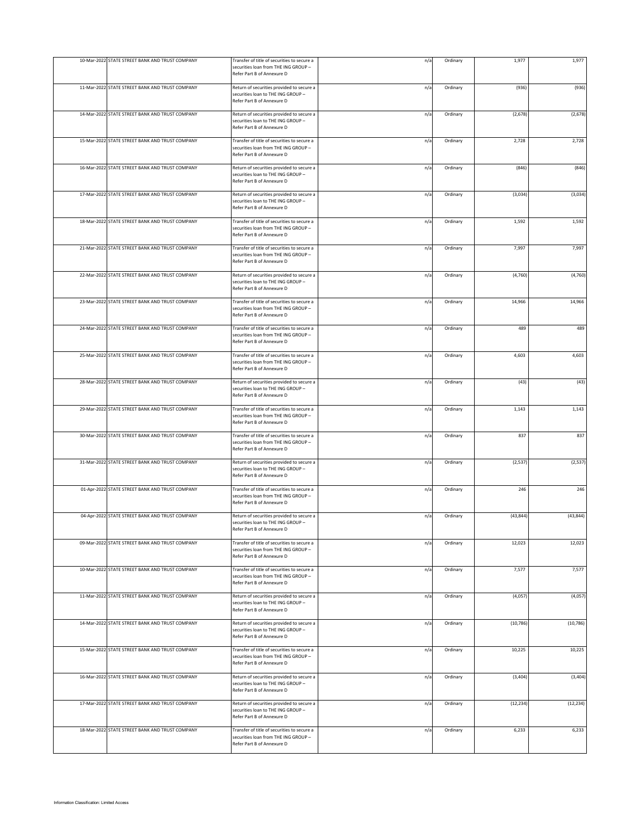| 10-Mar-2022 STATE STREET BANK AND TRUST COMPANY | Transfer of title of securities to secure a<br>securities loan from THE ING GROUP -<br>Refer Part B of Annexure D | n/a | Ordinary | 1,977     | 1,977     |
|-------------------------------------------------|-------------------------------------------------------------------------------------------------------------------|-----|----------|-----------|-----------|
| 11-Mar-2022 STATE STREET BANK AND TRUST COMPANY | Return of securities provided to secure a<br>securities loan to THE ING GROUP -<br>Refer Part B of Annexure D     | n/a | Ordinary | (936)     | (936)     |
| 14-Mar-2022 STATE STREET BANK AND TRUST COMPANY | Return of securities provided to secure a<br>securities loan to THE ING GROUP -<br>Refer Part B of Annexure D     | n/a | Ordinary | (2, 678)  | (2, 678)  |
| 15-Mar-2022 STATE STREET BANK AND TRUST COMPANY | Transfer of title of securities to secure a<br>securities loan from THE ING GROUP -<br>Refer Part B of Annexure D | n/a | Ordinary | 2,728     | 2,728     |
| 16-Mar-2022 STATE STREET BANK AND TRUST COMPANY | Return of securities provided to secure a<br>securities loan to THE ING GROUP -<br>Refer Part B of Annexure D     | n/a | Ordinary | (846)     | (846)     |
| 17-Mar-2022 STATE STREET BANK AND TRUST COMPANY | Return of securities provided to secure a<br>securities loan to THE ING GROUP -<br>Refer Part B of Annexure D     | n/a | Ordinary | (3,034)   | (3,034)   |
| 18-Mar-2022 STATE STREET BANK AND TRUST COMPANY | Transfer of title of securities to secure a<br>securities loan from THE ING GROUP -<br>Refer Part B of Annexure D | n/a | Ordinary | 1,592     | 1,592     |
| 21-Mar-2022 STATE STREET BANK AND TRUST COMPANY | Transfer of title of securities to secure a<br>securities loan from THE ING GROUP -<br>Refer Part B of Annexure D | n/a | Ordinary | 7,997     | 7,997     |
| 22-Mar-2022 STATE STREET BANK AND TRUST COMPANY | Return of securities provided to secure a<br>securities loan to THE ING GROUP -<br>Refer Part B of Annexure D     | n/a | Ordinary | (4,760)   | (4, 760)  |
| 23-Mar-2022 STATE STREET BANK AND TRUST COMPANY | Transfer of title of securities to secure a<br>securities loan from THE ING GROUP -<br>Refer Part B of Annexure D | n/a | Ordinary | 14,966    | 14,966    |
| 24-Mar-2022 STATE STREET BANK AND TRUST COMPANY | Transfer of title of securities to secure a<br>securities loan from THE ING GROUP -<br>Refer Part B of Annexure D | n/a | Ordinary | 489       | 489       |
| 25-Mar-2022 STATE STREET BANK AND TRUST COMPANY | Transfer of title of securities to secure a<br>securities loan from THE ING GROUP -<br>Refer Part B of Annexure D | n/a | Ordinary | 4,603     | 4,603     |
| 28-Mar-2022 STATE STREET BANK AND TRUST COMPANY | Return of securities provided to secure a<br>securities loan to THE ING GROUP -<br>Refer Part B of Annexure D     | n/a | Ordinary | (43)      | (43)      |
| 29-Mar-2022 STATE STREET BANK AND TRUST COMPANY | Transfer of title of securities to secure a<br>securities loan from THE ING GROUP -<br>Refer Part B of Annexure D | n/a | Ordinary | 1,143     | 1,143     |
| 30-Mar-2022 STATE STREET BANK AND TRUST COMPANY | Transfer of title of securities to secure a<br>securities loan from THE ING GROUP -<br>Refer Part B of Annexure D | n/a | Ordinary | 837       | 837       |
| 31-Mar-2022 STATE STREET BANK AND TRUST COMPANY | Return of securities provided to secure a<br>securities loan to THE ING GROUP -<br>Refer Part B of Annexure D     | n/a | Ordinary | (2, 537)  | (2, 537)  |
| 01-Apr-2022 STATE STREET BANK AND TRUST COMPANY | Transfer of title of securities to secure a<br>securities loan from THE ING GROUP -<br>Refer Part B of Annexure D | n/a | Ordinary | 246       | 246       |
| 04-Apr-2022 STATE STREET BANK AND TRUST COMPANY | Return of securities provided to secure a<br>securities loan to THE ING GROUP -<br>Refer Part B of Annexure D     | n/a | Ordinary | (43, 844) | (43, 844) |
| 09-Mar-2022 STATE STREET BANK AND TRUST COMPANY | Transfer of title of securities to secure a<br>securities loan from THE ING GROUP -<br>Refer Part B of Annexure D | n/a | Ordinary | 12,023    | 12,023    |
| 10-Mar-2022 STATE STREET BANK AND TRUST COMPANY | Transfer of title of securities to secure a<br>securities loan from THE ING GROUP -<br>Refer Part B of Annexure D | n/a | Ordinary | 7,577     | 7,577     |
| 11-Mar-2022 STATE STREET BANK AND TRUST COMPANY | Return of securities provided to secure a<br>securities loan to THE ING GROUP -<br>Refer Part B of Annexure D     | n/a | Ordinary | (4,057)   | (4,057)   |
| 14-Mar-2022 STATE STREET BANK AND TRUST COMPANY | Return of securities provided to secure a<br>securities loan to THE ING GROUP -<br>Refer Part B of Annexure D     | n/a | Ordinary | (10, 786) | (10, 786) |
| 15-Mar-2022 STATE STREET BANK AND TRUST COMPANY | Transfer of title of securities to secure a<br>securities loan from THE ING GROUP -<br>Refer Part B of Annexure D | n/a | Ordinary | 10,225    | 10,225    |
| 16-Mar-2022 STATE STREET BANK AND TRUST COMPANY | Return of securities provided to secure a<br>securities loan to THE ING GROUP -<br>Refer Part B of Annexure D     | n/a | Ordinary | (3, 404)  | (3, 404)  |
| 17-Mar-2022 STATE STREET BANK AND TRUST COMPANY | Return of securities provided to secure a<br>securities loan to THE ING GROUP -<br>Refer Part B of Annexure D     | n/a | Ordinary | (12, 234) | (12, 234) |
| 18-Mar-2022 STATE STREET BANK AND TRUST COMPANY | Transfer of title of securities to secure a<br>securities loan from THE ING GROUP -<br>Refer Part B of Annexure D | n/a | Ordinary | 6,233     | 6,233     |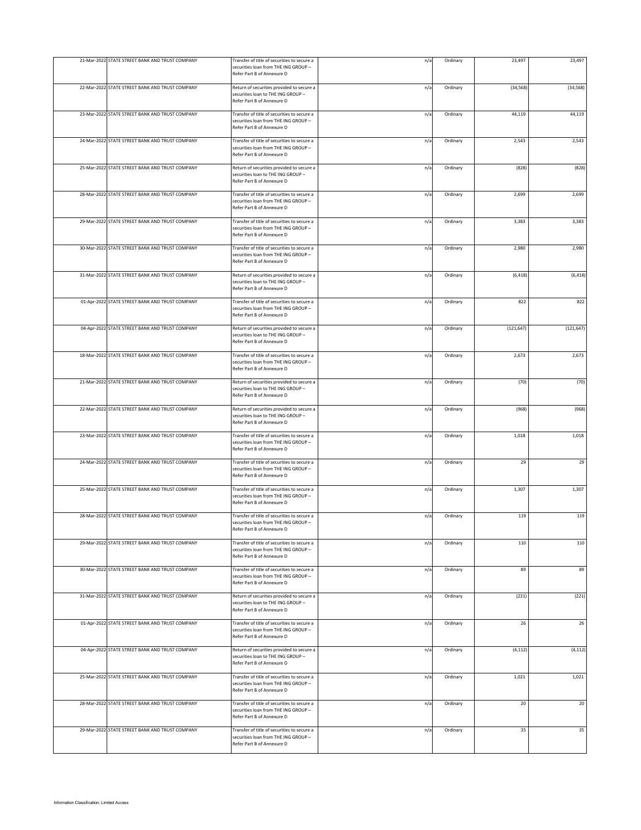| 21-Mar-2022 STATE STREET BANK AND TRUST COMPANY | Transfer of title of securities to secure a<br>securities loan from THE ING GROUP -<br>Refer Part B of Annexure D | n/a | Ordinary | 23,497     | 23,497     |
|-------------------------------------------------|-------------------------------------------------------------------------------------------------------------------|-----|----------|------------|------------|
| 22-Mar-2022 STATE STREET BANK AND TRUST COMPANY | Return of securities provided to secure a<br>securities loan to THE ING GROUP -<br>Refer Part B of Annexure D     | n/a | Ordinary | (34, 568)  | (34, 568)  |
| 23-Mar-2022 STATE STREET BANK AND TRUST COMPANY | Transfer of title of securities to secure a<br>securities loan from THE ING GROUP -<br>Refer Part B of Annexure D | n/a | Ordinary | 44,119     | 44,119     |
| 24-Mar-2022 STATE STREET BANK AND TRUST COMPANY | Transfer of title of securities to secure a<br>securities loan from THE ING GROUP -<br>Refer Part B of Annexure D | n/a | Ordinary | 2,543      | 2,543      |
| 25-Mar-2022 STATE STREET BANK AND TRUST COMPANY | Return of securities provided to secure a<br>securities loan to THE ING GROUP -<br>Refer Part B of Annexure D     | n/a | Ordinary | (828)      | (828)      |
| 28-Mar-2022 STATE STREET BANK AND TRUST COMPANY | Transfer of title of securities to secure a<br>securities loan from THE ING GROUP -<br>Refer Part B of Annexure D | n/a | Ordinary | 2,699      | 2,699      |
| 29-Mar-2022 STATE STREET BANK AND TRUST COMPANY | Transfer of title of securities to secure a<br>securities loan from THE ING GROUP -<br>Refer Part B of Annexure D | n/a | Ordinary | 3,383      | 3,383      |
| 30-Mar-2022 STATE STREET BANK AND TRUST COMPANY | Transfer of title of securities to secure a<br>securities loan from THE ING GROUP -<br>Refer Part B of Annexure D | n/a | Ordinary | 2,980      | 2,980      |
| 31-Mar-2022 STATE STREET BANK AND TRUST COMPANY | Return of securities provided to secure a<br>securities loan to THE ING GROUP -<br>Refer Part B of Annexure D     | n/a | Ordinary | (6, 418)   | (6, 418)   |
| 01-Apr-2022 STATE STREET BANK AND TRUST COMPANY | Transfer of title of securities to secure a<br>securities loan from THE ING GROUP -<br>Refer Part B of Annexure D | n/a | Ordinary | 822        | 822        |
| 04-Apr-2022 STATE STREET BANK AND TRUST COMPANY | Return of securities provided to secure a<br>securities loan to THE ING GROUP -<br>Refer Part B of Annexure D     | n/a | Ordinary | (121, 647) | (121, 647) |
| 18-Mar-2022 STATE STREET BANK AND TRUST COMPANY | Transfer of title of securities to secure a<br>securities loan from THE ING GROUP -<br>Refer Part B of Annexure D | n/a | Ordinary | 2,673      | 2,673      |
| 21-Mar-2022 STATE STREET BANK AND TRUST COMPANY | Return of securities provided to secure a<br>securities loan to THE ING GROUP -<br>Refer Part B of Annexure D     | n/a | Ordinary | (70)       | (70)       |
| 22-Mar-2022 STATE STREET BANK AND TRUST COMPANY | Return of securities provided to secure a<br>securities loan to THE ING GROUP -<br>Refer Part B of Annexure D     | n/a | Ordinary | (968)      | (968)      |
| 23-Mar-2022 STATE STREET BANK AND TRUST COMPANY | Transfer of title of securities to secure a<br>securities loan from THE ING GROUP -<br>Refer Part B of Annexure D | n/a | Ordinary | 1,018      | 1,018      |
| 24-Mar-2022 STATE STREET BANK AND TRUST COMPANY | Transfer of title of securities to secure a<br>securities loan from THE ING GROUP -<br>Refer Part B of Annexure D | n/a | Ordinary | 29         | 29         |
| 25-Mar-2022 STATE STREET BANK AND TRUST COMPANY | Transfer of title of securities to secure a<br>securities loan from THE ING GROUP -<br>Refer Part B of Annexure D | n/a | Ordinary | 1,307      | 1,307      |
| 28-Mar-2022 STATE STREET BANK AND TRUST COMPANY | Transfer of title of securities to secure a<br>securities loan from THE ING GROUP -<br>Refer Part B of Annexure D | n/a | Ordinary | 119        | 119        |
| 29-Mar-2022 STATE STREET BANK AND TRUST COMPANY | Transfer of title of securities to secure a<br>securities loan from THE ING GROUP -<br>Refer Part B of Annexure D | n/a | Ordinary | 110        | 110        |
| 30-Mar-2022 STATE STREET BANK AND TRUST COMPANY | Transfer of title of securities to secure a<br>securities loan from THE ING GROUP -<br>Refer Part B of Annexure D | n/a | Ordinary | 89         | 89         |
| 31-Mar-2022 STATE STREET BANK AND TRUST COMPANY | Return of securities provided to secure a<br>securities loan to THE ING GROUP -<br>Refer Part B of Annexure D     | n/a | Ordinary | (221)      | (221)      |
| 01-Apr-2022 STATE STREET BANK AND TRUST COMPANY | Transfer of title of securities to secure a<br>securities loan from THE ING GROUP -<br>Refer Part B of Annexure D | n/a | Ordinary | 26         | 26         |
| 04-Apr-2022 STATE STREET BANK AND TRUST COMPANY | Return of securities provided to secure a<br>securities loan to THE ING GROUP -<br>Refer Part B of Annexure D     | n/a | Ordinary | (4, 112)   | (4, 112)   |
| 25-Mar-2022 STATE STREET BANK AND TRUST COMPANY | Transfer of title of securities to secure a<br>securities loan from THE ING GROUP -<br>Refer Part B of Annexure D | n/a | Ordinary | 1,021      | 1,021      |
| 28-Mar-2022 STATE STREET BANK AND TRUST COMPANY | Transfer of title of securities to secure a<br>securities loan from THE ING GROUP -<br>Refer Part B of Annexure D | n/a | Ordinary | 20         | 20         |
| 29-Mar-2022 STATE STREET BANK AND TRUST COMPANY | Transfer of title of securities to secure a<br>securities loan from THE ING GROUP -<br>Refer Part B of Annexure D | n/a | Ordinary | 35         | 35         |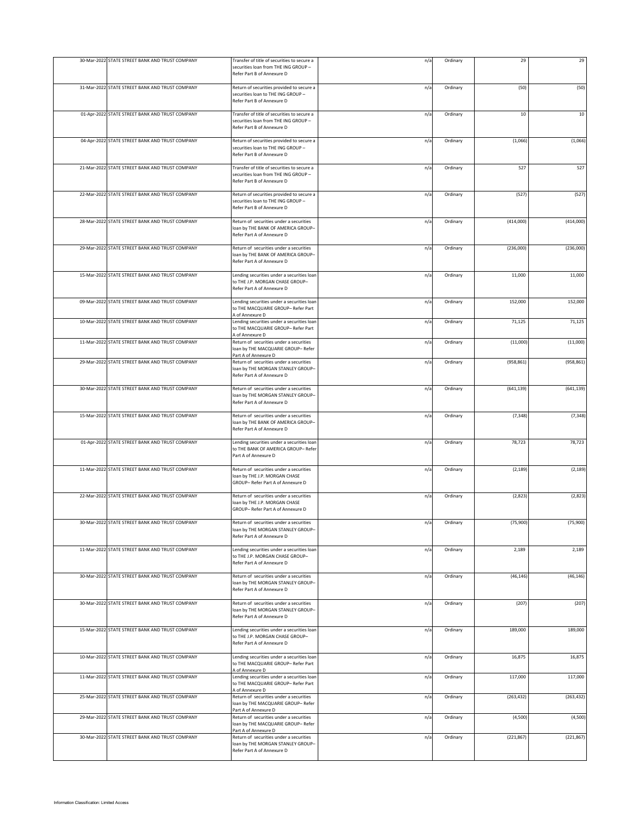| 30-Mar-2022 STATE STREET BANK AND TRUST COMPANY | Transfer of title of securities to secure a<br>securities loan from THE ING GROUP -<br>Refer Part B of Annexure D | n/a | Ordinary | 29         | 29         |
|-------------------------------------------------|-------------------------------------------------------------------------------------------------------------------|-----|----------|------------|------------|
| 31-Mar-2022 STATE STREET BANK AND TRUST COMPANY | Return of securities provided to secure a<br>securities loan to THE ING GROUP -<br>Refer Part B of Annexure D     | n/a | Ordinary | (50)       | (50)       |
| 01-Apr-2022 STATE STREET BANK AND TRUST COMPANY | Transfer of title of securities to secure a<br>securities loan from THE ING GROUP -<br>Refer Part B of Annexure D | n/a | Ordinary | 10         | 10         |
| 04-Apr-2022 STATE STREET BANK AND TRUST COMPANY | Return of securities provided to secure a<br>securities loan to THE ING GROUP -<br>Refer Part B of Annexure D     | n/a | Ordinary | (1,066)    | (1,066)    |
| 21-Mar-2022 STATE STREET BANK AND TRUST COMPANY | Transfer of title of securities to secure a<br>securities loan from THE ING GROUP -<br>Refer Part B of Annexure D | n/a | Ordinary | 527        | 527        |
| 22-Mar-2022 STATE STREET BANK AND TRUST COMPANY | Return of securities provided to secure a<br>securities loan to THE ING GROUP -<br>Refer Part B of Annexure D     | n/a | Ordinary | (527)      | (527)      |
| 28-Mar-2022 STATE STREET BANK AND TRUST COMPANY | Return of securities under a securities<br>loan by THE BANK OF AMERICA GROUP-<br>Refer Part A of Annexure D       | n/a | Ordinary | (414,000)  | (414,000)  |
| 29-Mar-2022 STATE STREET BANK AND TRUST COMPANY | Return of securities under a securities<br>oan by THE BANK OF AMERICA GROUP-<br>Refer Part A of Annexure D        | n/a | Ordinary | (236,000)  | (236,000)  |
| 15-Mar-2022 STATE STREET BANK AND TRUST COMPANY | Lending securities under a securities loan<br>to THE J.P. MORGAN CHASE GROUP-<br>Refer Part A of Annexure D       | n/a | Ordinary | 11,000     | 11,000     |
| 09-Mar-2022 STATE STREET BANK AND TRUST COMPANY | Lending securities under a securities loar<br>to THE MACQUARIE GROUP- Refer Part<br>A of Annexure D               | n/a | Ordinary | 152,000    | 152,000    |
| 10-Mar-2022 STATE STREET BANK AND TRUST COMPANY | Lending securities under a securities loan<br>to THE MACQUARIE GROUP- Refer Part<br>A of Annexure D               | n/a | Ordinary | 71,125     | 71,125     |
| 11-Mar-2022 STATE STREET BANK AND TRUST COMPANY | Return of securities under a securities<br>oan by THE MACQUARIE GROUP- Refer<br>Part A of Annexure D              | n/a | Ordinary | (11,000)   | (11,000)   |
| 29-Mar-2022 STATE STREET BANK AND TRUST COMPANY | Return of securities under a securities<br>oan by THE MORGAN STANLEY GROUP-<br>Refer Part A of Annexure D         | n/a | Ordinary | (958, 861) | (958, 861) |
| 30-Mar-2022 STATE STREET BANK AND TRUST COMPANY | Return of securities under a securities<br>loan by THE MORGAN STANLEY GROUP-<br>Refer Part A of Annexure D        | n/a | Ordinary | (641, 139) | (641, 139) |
| 15-Mar-2022 STATE STREET BANK AND TRUST COMPANY | Return of securities under a securities<br>oan by THE BANK OF AMERICA GROUP-<br>Refer Part A of Annexure D        | n/a | Ordinary | (7, 348)   | (7, 348)   |
| 01-Apr-2022 STATE STREET BANK AND TRUST COMPANY | Lending securities under a securities loan<br>to THE BANK OF AMERICA GROUP- Refer<br>Part A of Annexure D         | n/a | Ordinary | 78,723     | 78,723     |
| 11-Mar-2022 STATE STREET BANK AND TRUST COMPANY | Return of securities under a securities<br>oan by THE J.P. MORGAN CHASE<br>GROUP- Refer Part A of Annexure D      | n/a | Ordinary | (2, 189)   | (2, 189)   |
| 22-Mar-2022 STATE STREET BANK AND TRUST COMPANY | Return of securities under a securities<br>oan by THE J.P. MORGAN CHASE<br>GROUP-Refer Part A of Annexure D       | n/a | Ordinary | (2,823)    | (2,823)    |
| 30-Mar-2022 STATE STREET BANK AND TRUST COMPANY | Return of securities under a securities<br>loan by THE MORGAN STANLEY GROUP-<br>Refer Part A of Annexure D        | n/a | Ordinary | (75,900)   | (75,900)   |
| 11-Mar-2022 STATE STREET BANK AND TRUST COMPANY | Lending securities under a securities loar<br>to THE J.P. MORGAN CHASE GROUP-<br>Refer Part A of Annexure D       | n/a | Ordinary | 2,189      | 2,189      |
| 30-Mar-2022 STATE STREET BANK AND TRUST COMPANY | Return of securities under a securities<br>oan by THE MORGAN STANLEY GROUP-<br>Refer Part A of Annexure D         | n/a | Ordinary | (46, 146)  | (46, 146)  |
| 30-Mar-2022 STATE STREET BANK AND TRUST COMPANY | Return of securities under a securities<br>oan by THE MORGAN STANLEY GROUP-<br>Refer Part A of Annexure D         | n/a | Ordinary | (207)      | (207)      |
| 15-Mar-2022 STATE STREET BANK AND TRUST COMPANY | Lending securities under a securities loan<br>to THE J.P. MORGAN CHASE GROUP-<br>Refer Part A of Annexure D       | n/a | Ordinary | 189,000    | 189,000    |
| 10-Mar-2022 STATE STREET BANK AND TRUST COMPANY | Lending securities under a securities loan<br>to THE MACQUARIE GROUP- Refer Part<br>A of Annexure D               | n/a | Ordinary | 16,875     | 16,875     |
| 11-Mar-2022 STATE STREET BANK AND TRUST COMPANY | Lending securities under a securities loan<br>to THE MACQUARIE GROUP- Refer Part<br>A of Annexure D               | n/a | Ordinary | 117,000    | 117,000    |
| 25-Mar-2022 STATE STREET BANK AND TRUST COMPANY | Return of securities under a securities<br>loan by THE MACQUARIE GROUP- Refer<br>Part A of Annexure D             | n/a | Ordinary | (263, 432) | (263, 432) |
| 29-Mar-2022 STATE STREET BANK AND TRUST COMPANY | Return of securities under a securities<br>oan by THE MACQUARIE GROUP- Refer<br>Part A of Annexure D              | n/a | Ordinary | (4,500)    | (4,500)    |
| 30-Mar-2022 STATE STREET BANK AND TRUST COMPANY | Return of securities under a securities<br>oan by THE MORGAN STANLEY GROUP-<br>Refer Part A of Annexure D         | n/a | Ordinary | (221, 867) | (221, 867) |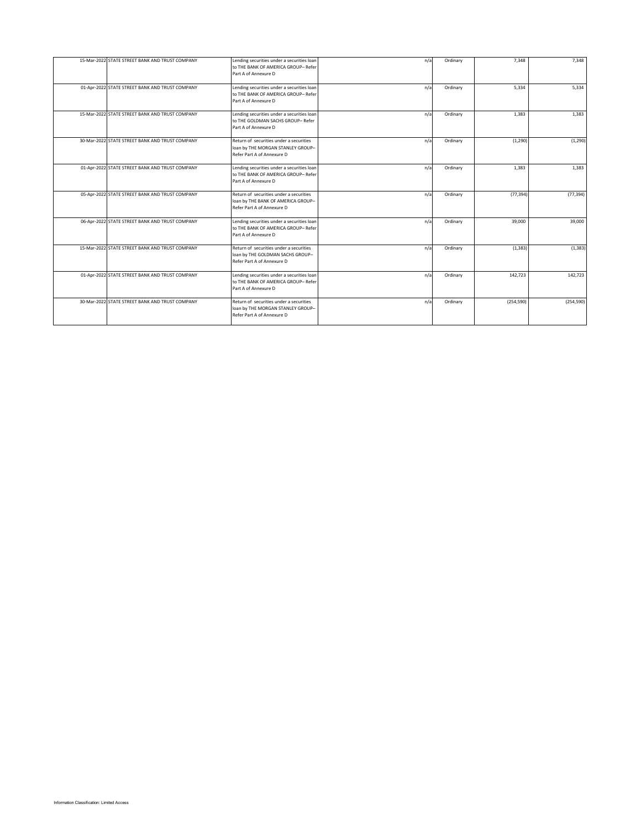|  | 15-Mar-2022 STATE STREET BANK AND TRUST COMPANY | Lending securities under a securities loan<br>to THE BANK OF AMERICA GROUP- Refer<br>Part A of Annexure D   | n/a | Ordinary | 7,348      | 7,348      |
|--|-------------------------------------------------|-------------------------------------------------------------------------------------------------------------|-----|----------|------------|------------|
|  | 01-Apr-2022 STATE STREET BANK AND TRUST COMPANY | Lending securities under a securities loan<br>to THE BANK OF AMERICA GROUP- Refer<br>Part A of Annexure D   | n/a | Ordinary | 5,334      | 5,334      |
|  | 15-Mar-2022 STATE STREET BANK AND TRUST COMPANY | Lending securities under a securities loan<br>to THE GOLDMAN SACHS GROUP- Refer<br>Part A of Annexure D     | n/a | Ordinary | 1,383      | 1,383      |
|  | 30-Mar-2022 STATE STREET BANK AND TRUST COMPANY | Return of securities under a securities<br>loan by THE MORGAN STANLEY GROUP-<br>Refer Part A of Annexure D  | n/a | Ordinary | (1, 290)   | (1, 290)   |
|  | 01-Apr-2022 STATE STREET BANK AND TRUST COMPANY | Lending securities under a securities loan<br>to THE BANK OF AMERICA GROUP- Refer<br>Part A of Annexure D   | n/a | Ordinary | 1.383      | 1,383      |
|  | 05-Apr-2022 STATE STREET BANK AND TRUST COMPANY | Return of securities under a securities<br>loan by THE BANK OF AMERICA GROUP-<br>Refer Part A of Annexure D | n/a | Ordinary | (77, 394)  | (77, 394)  |
|  | 06-Apr-2022 STATE STREET BANK AND TRUST COMPANY | Lending securities under a securities loan<br>to THE BANK OF AMERICA GROUP- Refer<br>Part A of Annexure D   | n/a | Ordinary | 39,000     | 39,000     |
|  | 15-Mar-2022 STATE STREET BANK AND TRUST COMPANY | Return of securities under a securities<br>loan by THE GOLDMAN SACHS GROUP-<br>Refer Part A of Annexure D   | n/a | Ordinary | (1, 383)   | (1, 383)   |
|  | 01-Apr-2022 STATE STREET BANK AND TRUST COMPANY | Lending securities under a securities loan<br>to THE BANK OF AMERICA GROUP- Refer<br>Part A of Annexure D   | n/a | Ordinary | 142,723    | 142,723    |
|  | 30-Mar-2022 STATE STREET BANK AND TRUST COMPANY | Return of securities under a securities<br>loan by THE MORGAN STANLEY GROUP-<br>Refer Part A of Annexure D  | n/a | Ordinary | (254, 590) | (254, 590) |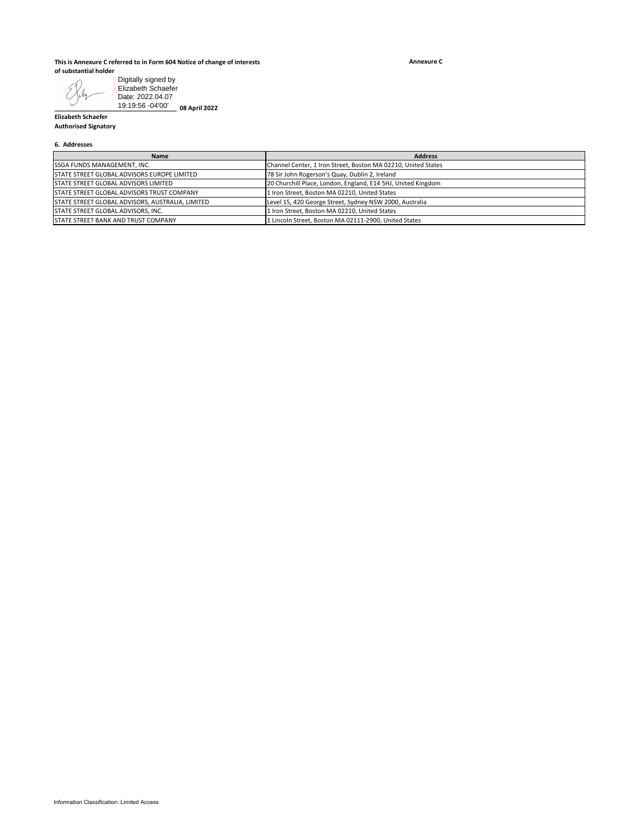#### **This is Annexure C referred to in Form 604 Notice of change of interests of substantial holder**

**Annexure C**

**\_\_\_\_\_\_\_\_\_\_\_\_\_\_\_\_\_\_\_\_\_\_\_\_\_\_\_\_\_\_\_\_\_\_\_\_ 08 April 2022** Elizabeth Schaefer Date: 2022.04.07 19:19:56 -04'00'

### **6. Addresses**

| Digitally signed by<br>Elizabeth Schaefer<br>Date: 2022.04.07                                  |                                                                                                        |
|------------------------------------------------------------------------------------------------|--------------------------------------------------------------------------------------------------------|
| 19:19:56 -04'00'<br>_08 April 2022<br><b>Elizabeth Schaefer</b><br><b>Authorised Signatory</b> |                                                                                                        |
| 6. Addresses                                                                                   |                                                                                                        |
| Name                                                                                           | <b>Address</b>                                                                                         |
| SSGA FUNDS MANAGEMENT, INC.                                                                    | Channel Center, 1 Iron Street, Boston MA 02210, United States                                          |
| STATE STREET GLOBAL ADVISORS EUROPE LIMITED                                                    | 78 Sir John Rogerson's Quay, Dublin 2, Ireland                                                         |
| STATE STREET GLOBAL ADVISORS LIMITED                                                           | 20 Churchill Place, London, England, E14 5HJ, United Kingdom                                           |
| STATE STREET GLOBAL ADVISORS TRUST COMPANY                                                     | 1 Iron Street, Boston MA 02210, United States                                                          |
| STATE STREET GLOBAL ADVISORS, AUSTRALIA, LIMITED                                               | Level 15, 420 George Street, Sydney NSW 2000, Australia                                                |
|                                                                                                |                                                                                                        |
| STATE STREET GLOBAL ADVISORS, INC.<br>STATE STREET BANK AND TRUST COMPANY                      | 1 Iron Street, Boston MA 02210, United States<br>1 Lincoln Street, Boston MA 02111-2900, United States |
|                                                                                                |                                                                                                        |
| Information Classification: Limited Access                                                     |                                                                                                        |